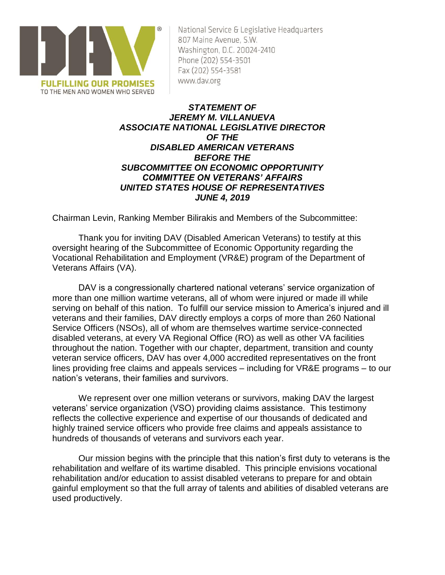

National Service & Legislative Headquarters 807 Maine Avenue, S.W. Washington, D.C. 20024-2410 Phone (202) 554-3501 Fax (202) 554-3581 www.dav.org

# *STATEMENT OF JEREMY M. VILLANUEVA ASSOCIATE NATIONAL LEGISLATIVE DIRECTOR OF THE DISABLED AMERICAN VETERANS BEFORE THE SUBCOMMITTEE ON ECONOMIC OPPORTUNITY COMMITTEE ON VETERANS' AFFAIRS UNITED STATES HOUSE OF REPRESENTATIVES JUNE 4, 2019*

Chairman Levin, Ranking Member Bilirakis and Members of the Subcommittee:

Thank you for inviting DAV (Disabled American Veterans) to testify at this oversight hearing of the Subcommittee of Economic Opportunity regarding the Vocational Rehabilitation and Employment (VR&E) program of the Department of Veterans Affairs (VA).

DAV is a congressionally chartered national veterans' service organization of more than one million wartime veterans, all of whom were injured or made ill while serving on behalf of this nation. To fulfill our service mission to America's injured and ill veterans and their families, DAV directly employs a corps of more than 260 National Service Officers (NSOs), all of whom are themselves wartime service-connected disabled veterans, at every VA Regional Office (RO) as well as other VA facilities throughout the nation. Together with our chapter, department, transition and county veteran service officers, DAV has over 4,000 accredited representatives on the front lines providing free claims and appeals services – including for VR&E programs – to our nation's veterans, their families and survivors.

We represent over one million veterans or survivors, making DAV the largest veterans' service organization (VSO) providing claims assistance. This testimony reflects the collective experience and expertise of our thousands of dedicated and highly trained service officers who provide free claims and appeals assistance to hundreds of thousands of veterans and survivors each year.

Our mission begins with the principle that this nation's first duty to veterans is the rehabilitation and welfare of its wartime disabled. This principle envisions vocational rehabilitation and/or education to assist disabled veterans to prepare for and obtain gainful employment so that the full array of talents and abilities of disabled veterans are used productively.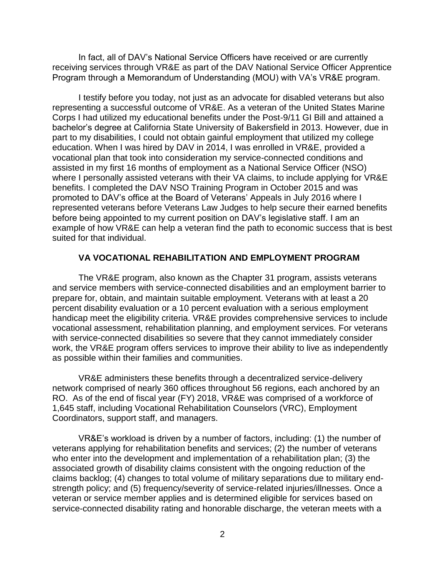In fact, all of DAV's National Service Officers have received or are currently receiving services through VR&E as part of the DAV National Service Officer Apprentice Program through a Memorandum of Understanding (MOU) with VA's VR&E program.

I testify before you today, not just as an advocate for disabled veterans but also representing a successful outcome of VR&E. As a veteran of the United States Marine Corps I had utilized my educational benefits under the Post-9/11 GI Bill and attained a bachelor's degree at California State University of Bakersfield in 2013. However, due in part to my disabilities, I could not obtain gainful employment that utilized my college education. When I was hired by DAV in 2014, I was enrolled in VR&E, provided a vocational plan that took into consideration my service-connected conditions and assisted in my first 16 months of employment as a National Service Officer (NSO) where I personally assisted veterans with their VA claims, to include applying for VR&E benefits. I completed the DAV NSO Training Program in October 2015 and was promoted to DAV's office at the Board of Veterans' Appeals in July 2016 where I represented veterans before Veterans Law Judges to help secure their earned benefits before being appointed to my current position on DAV's legislative staff. I am an example of how VR&E can help a veteran find the path to economic success that is best suited for that individual.

# **VA VOCATIONAL REHABILITATION AND EMPLOYMENT PROGRAM**

The VR&E program, also known as the Chapter 31 program, assists veterans and service members with service-connected disabilities and an employment barrier to prepare for, obtain, and maintain suitable employment. Veterans with at least a 20 percent disability evaluation or a 10 percent evaluation with a serious employment handicap meet the eligibility criteria. VR&E provides comprehensive services to include vocational assessment, rehabilitation planning, and employment services. For veterans with service-connected disabilities so severe that they cannot immediately consider work, the VR&E program offers services to improve their ability to live as independently as possible within their families and communities.

VR&E administers these benefits through a decentralized service-delivery network comprised of nearly 360 offices throughout 56 regions, each anchored by an RO. As of the end of fiscal year (FY) 2018, VR&E was comprised of a workforce of 1,645 staff, including Vocational Rehabilitation Counselors (VRC), Employment Coordinators, support staff, and managers.

VR&E's workload is driven by a number of factors, including: (1) the number of veterans applying for rehabilitation benefits and services; (2) the number of veterans who enter into the development and implementation of a rehabilitation plan; (3) the associated growth of disability claims consistent with the ongoing reduction of the claims backlog; (4) changes to total volume of military separations due to military endstrength policy; and (5) frequency/severity of service-related injuries/illnesses. Once a veteran or service member applies and is determined eligible for services based on service-connected disability rating and honorable discharge, the veteran meets with a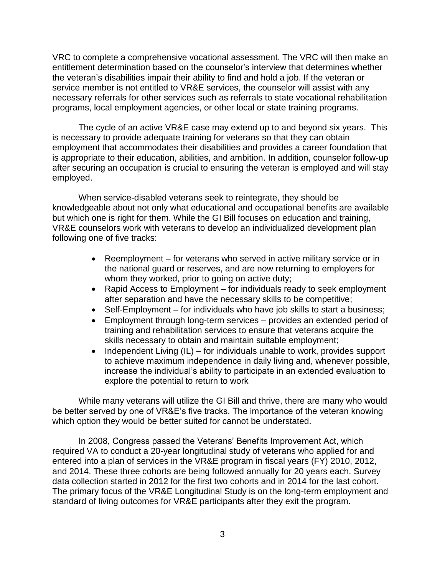VRC to complete a comprehensive vocational assessment. The VRC will then make an entitlement determination based on the counselor's interview that determines whether the veteran's disabilities impair their ability to find and hold a job. If the veteran or service member is not entitled to VR&E services, the counselor will assist with any necessary referrals for other services such as referrals to state vocational rehabilitation programs, local employment agencies, or other local or state training programs.

The cycle of an active VR&E case may extend up to and beyond six years. This is necessary to provide adequate training for veterans so that they can obtain employment that accommodates their disabilities and provides a career foundation that is appropriate to their education, abilities, and ambition. In addition, counselor follow-up after securing an occupation is crucial to ensuring the veteran is employed and will stay employed.

When service-disabled veterans seek to reintegrate, they should be knowledgeable about not only what educational and occupational benefits are available but which one is right for them. While the GI Bill focuses on education and training, VR&E counselors work with veterans to develop an individualized development plan following one of five tracks:

- Reemployment for veterans who served in active military service or in the national guard or reserves, and are now returning to employers for whom they worked, prior to going on active duty;
- Rapid Access to Employment for individuals ready to seek employment after separation and have the necessary skills to be competitive;
- Self-Employment for individuals who have job skills to start a business;
- Employment through long-term services provides an extended period of training and rehabilitation services to ensure that veterans acquire the skills necessary to obtain and maintain suitable employment;
- Independent Living (IL) for individuals unable to work, provides support to achieve maximum independence in daily living and, whenever possible, increase the individual's ability to participate in an extended evaluation to explore the potential to return to work

While many veterans will utilize the GI Bill and thrive, there are many who would be better served by one of VR&E's five tracks. The importance of the veteran knowing which option they would be better suited for cannot be understated.

In 2008, Congress passed the Veterans' Benefits Improvement Act, which required VA to conduct a 20-year longitudinal study of veterans who applied for and entered into a plan of services in the VR&E program in fiscal years (FY) 2010, 2012, and 2014. These three cohorts are being followed annually for 20 years each. Survey data collection started in 2012 for the first two cohorts and in 2014 for the last cohort. The primary focus of the VR&E Longitudinal Study is on the long-term employment and standard of living outcomes for VR&E participants after they exit the program.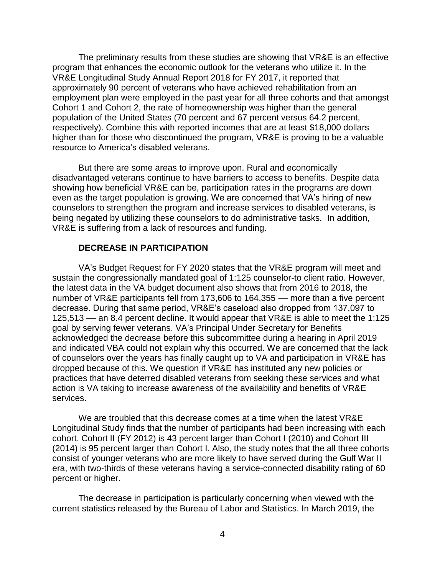The preliminary results from these studies are showing that VR&E is an effective program that enhances the economic outlook for the veterans who utilize it. In the VR&E Longitudinal Study Annual Report 2018 for FY 2017, it reported that approximately 90 percent of veterans who have achieved rehabilitation from an employment plan were employed in the past year for all three cohorts and that amongst Cohort 1 and Cohort 2, the rate of homeownership was higher than the general population of the United States (70 percent and 67 percent versus 64.2 percent, respectively). Combine this with reported incomes that are at least \$18,000 dollars higher than for those who discontinued the program, VR&E is proving to be a valuable resource to America's disabled veterans.

But there are some areas to improve upon. Rural and economically disadvantaged veterans continue to have barriers to access to benefits. Despite data showing how beneficial VR&E can be, participation rates in the programs are down even as the target population is growing. We are concerned that VA's hiring of new counselors to strengthen the program and increase services to disabled veterans, is being negated by utilizing these counselors to do administrative tasks. In addition, VR&E is suffering from a lack of resources and funding.

# **DECREASE IN PARTICIPATION**

VA's Budget Request for FY 2020 states that the VR&E program will meet and sustain the congressionally mandated goal of 1:125 counselor-to client ratio. However, the latest data in the VA budget document also shows that from 2016 to 2018, the number of VR&E participants fell from 173,606 to 164,355 — more than a five percent decrease. During that same period, VR&E's caseload also dropped from 137,097 to 125,513 –– an 8.4 percent decline. It would appear that VR&E is able to meet the 1:125 goal by serving fewer veterans. VA's Principal Under Secretary for Benefits acknowledged the decrease before this subcommittee during a hearing in April 2019 and indicated VBA could not explain why this occurred. We are concerned that the lack of counselors over the years has finally caught up to VA and participation in VR&E has dropped because of this. We question if VR&E has instituted any new policies or practices that have deterred disabled veterans from seeking these services and what action is VA taking to increase awareness of the availability and benefits of VR&E services.

We are troubled that this decrease comes at a time when the latest VR&E Longitudinal Study finds that the number of participants had been increasing with each cohort. Cohort II (FY 2012) is 43 percent larger than Cohort I (2010) and Cohort III (2014) is 95 percent larger than Cohort I. Also, the study notes that the all three cohorts consist of younger veterans who are more likely to have served during the Gulf War II era, with two-thirds of these veterans having a service-connected disability rating of 60 percent or higher.

The decrease in participation is particularly concerning when viewed with the current statistics released by the Bureau of Labor and Statistics. In March 2019, the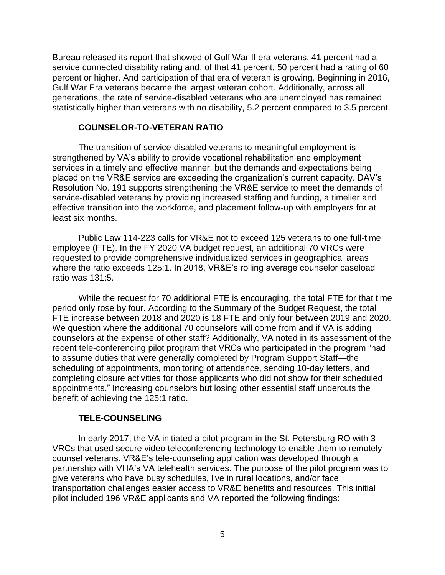Bureau released its report that showed of Gulf War II era veterans, 41 percent had a service connected disability rating and, of that 41 percent, 50 percent had a rating of 60 percent or higher. And participation of that era of veteran is growing. Beginning in 2016, Gulf War Era veterans became the largest veteran cohort. Additionally, across all generations, the rate of service-disabled veterans who are unemployed has remained statistically higher than veterans with no disability, 5.2 percent compared to 3.5 percent.

# **COUNSELOR-TO-VETERAN RATIO**

The transition of service-disabled veterans to meaningful employment is strengthened by VA's ability to provide vocational rehabilitation and employment services in a timely and effective manner, but the demands and expectations being placed on the VR&E service are exceeding the organization's current capacity. DAV's Resolution No. 191 supports strengthening the VR&E service to meet the demands of service-disabled veterans by providing increased staffing and funding, a timelier and effective transition into the workforce, and placement follow-up with employers for at least six months.

Public Law 114-223 calls for VR&E not to exceed 125 veterans to one full-time employee (FTE). In the FY 2020 VA budget request, an additional 70 VRCs were requested to provide comprehensive individualized services in geographical areas where the ratio exceeds 125:1. In 2018, VR&E's rolling average counselor caseload ratio was 131:5.

While the request for 70 additional FTE is encouraging, the total FTE for that time period only rose by four. According to the Summary of the Budget Request, the total FTE increase between 2018 and 2020 is 18 FTE and only four between 2019 and 2020. We question where the additional 70 counselors will come from and if VA is adding counselors at the expense of other staff? Additionally, VA noted in its assessment of the recent tele-conferencing pilot program that VRCs who participated in the program "had to assume duties that were generally completed by Program Support Staff—the scheduling of appointments, monitoring of attendance, sending 10-day letters, and completing closure activities for those applicants who did not show for their scheduled appointments." Increasing counselors but losing other essential staff undercuts the benefit of achieving the 125:1 ratio.

#### **TELE-COUNSELING**

In early 2017, the VA initiated a pilot program in the St. Petersburg RO with 3 VRCs that used secure video teleconferencing technology to enable them to remotely counsel veterans. VR&E's tele-counseling application was developed through a partnership with VHA's VA telehealth services. The purpose of the pilot program was to give veterans who have busy schedules, live in rural locations, and/or face transportation challenges easier access to VR&E benefits and resources. This initial pilot included 196 VR&E applicants and VA reported the following findings: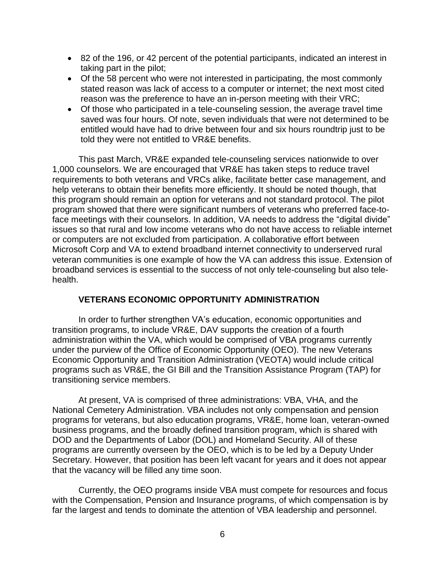- 82 of the 196, or 42 percent of the potential participants, indicated an interest in taking part in the pilot;
- Of the 58 percent who were not interested in participating, the most commonly stated reason was lack of access to a computer or internet; the next most cited reason was the preference to have an in-person meeting with their VRC;
- Of those who participated in a tele-counseling session, the average travel time saved was four hours. Of note, seven individuals that were not determined to be entitled would have had to drive between four and six hours roundtrip just to be told they were not entitled to VR&E benefits.

This past March, VR&E expanded tele-counseling services nationwide to over 1,000 counselors. We are encouraged that VR&E has taken steps to reduce travel requirements to both veterans and VRCs alike, facilitate better case management, and help veterans to obtain their benefits more efficiently. It should be noted though, that this program should remain an option for veterans and not standard protocol. The pilot program showed that there were significant numbers of veterans who preferred face-toface meetings with their counselors. In addition, VA needs to address the "digital divide" issues so that rural and low income veterans who do not have access to reliable internet or computers are not excluded from participation. A collaborative effort between Microsoft Corp and VA to extend broadband internet connectivity to underserved rural veteran communities is one example of how the VA can address this issue. Extension of broadband services is essential to the success of not only tele-counseling but also telehealth.

# **VETERANS ECONOMIC OPPORTUNITY ADMINISTRATION**

In order to further strengthen VA's education, economic opportunities and transition programs, to include VR&E, DAV supports the creation of a fourth administration within the VA, which would be comprised of VBA programs currently under the purview of the Office of Economic Opportunity (OEO). The new Veterans Economic Opportunity and Transition Administration (VEOTA) would include critical programs such as VR&E, the GI Bill and the Transition Assistance Program (TAP) for transitioning service members.

At present, VA is comprised of three administrations: VBA, VHA, and the National Cemetery Administration. VBA includes not only compensation and pension programs for veterans, but also education programs, VR&E, home loan, veteran-owned business programs, and the broadly defined transition program, which is shared with DOD and the Departments of Labor (DOL) and Homeland Security. All of these programs are currently overseen by the OEO, which is to be led by a Deputy Under Secretary. However, that position has been left vacant for years and it does not appear that the vacancy will be filled any time soon.

Currently, the OEO programs inside VBA must compete for resources and focus with the Compensation, Pension and Insurance programs, of which compensation is by far the largest and tends to dominate the attention of VBA leadership and personnel.